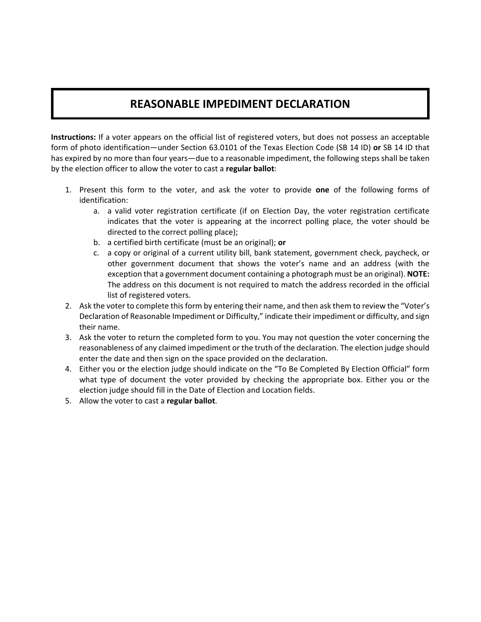## **REASONABLE IMPEDIMENT DECLARATION**

 **Instructions:** If a voter appears on the official list of registered voters, but does not possess an acceptable form of photo identification—under Section 63.0101 of the Texas Election Code (SB 14 ID) **or** SB 14 ID that has expired by no more than four years—due to a reasonable impediment, the following steps shall be taken by the election officer to allow the voter to cast a **regular ballot**:

- 1. Present this form to the voter, and ask the voter to provide one of the following forms of identification:
	- a. a valid voter registration certificate (if on Election Day, the voter registration certificate indicates that the voter is appearing at the incorrect polling place, the voter should be directed to the correct polling place);
	- b. a certified birth certificate (must be an original); **or**
	- c. a copy or original of a current utility bill, bank statement, government check, paycheck, or other government document that shows the voter's name and an address (with the exception that a government document containing a photograph must be an original). **NOTE:** The address on this document is not required to match the address recorded in the official list of registered voters.
- 2. Ask the voter to complete this form by entering their name, and then ask them to review the "Voter's Declaration of Reasonable Impediment or Difficulty," indicate their impediment or difficulty, and sign their name.
- 3. Ask the voter to return the completed form to you. You may not question the voter concerning the reasonableness of any claimed impediment or the truth of the declaration. The election judge should enter the date and then sign on the space provided on the declaration.
- 4. Either you or the election judge should indicate on the "To Be Completed By Election Official" form what type of document the voter provided by checking the appropriate box. Either you or the election judge should fill in the Date of Election and Location fields.
- 5. Allow the voter to cast a **regular ballot**.